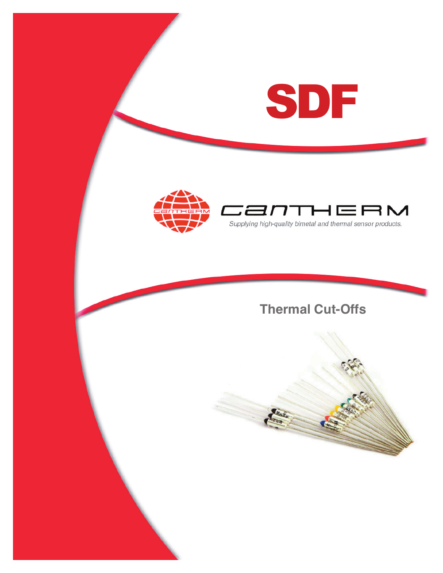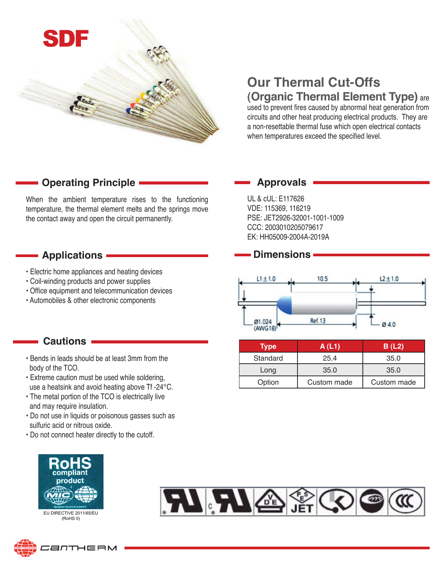

# **Our Thermal Cut-Offs**

# **(Organic Thermal Element Type)** are

used to prevent fires caused by abnormal heat generation from circuits and other heat producing electrical products. They are a non-resettable thermal fuse which open electrical contacts when temperatures exceed the specified level.

## **Operating Principle**

When the ambient temperature rises to the functioning temperature, the thermal element melts and the springs move the contact away and open the circuit permanently.

#### **Applications**

- Electric home appliances and heating devices
- Coil-winding products and power supplies
- Office equipment and telecommunication devices
- Automobiles & other electronic components

#### **Cautions**

- Bends in leads should be at least 3mm from the body of the TCO.
- Extreme caution must be used while soldering, use a heatsink and avoid heating above Tf -24°C.
- The metal portion of the TCO is electrically live and may require insulation.
- Do not use in liquids or poisonous gasses such as sulfuric acid or nitrous oxide.
- Do not connect heater directly to the cutoff.



EU DIRECTIVE 2011/65/EU (RoHS II)





 $L1 \pm 1.0$ 10.5

PSE: JET2926-32001-1001-1009 CCC: 2003010205079617 EK: HH05009-2004A-2019A



**Dimensions**

UL & cUL: E117626 VDE: 115369, 116219

**Approvals**

**Ref.13** 

| <b>Type</b> | A(L1)       | B(L2)       |
|-------------|-------------|-------------|
| Standard    | 25.4        | 35.0        |
| Long        | 35.0        | 35.0        |
| Option      | Custom made | Custom made |

 $L2 \pm 1.0$ 

Ø4.0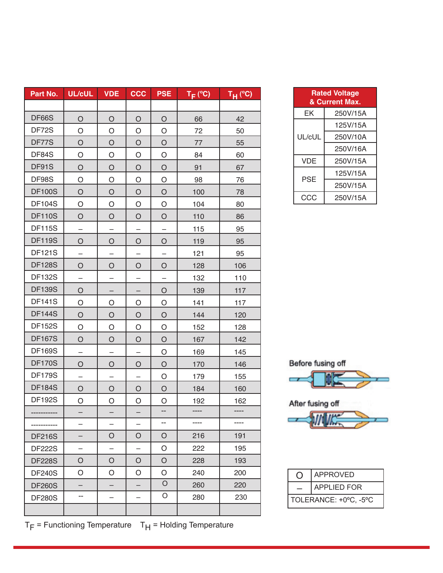| Part No.      | <b>UL/cUL</b>            | <b>VDE</b>               | CCC                      | <b>PSE</b> | $T_F$ (°C) | $T_H$ (°C) |
|---------------|--------------------------|--------------------------|--------------------------|------------|------------|------------|
|               |                          |                          |                          |            |            |            |
| DF66S         | $\circ$                  | O                        | $\circ$                  | $\circ$    | 66         | 42         |
| DF72S         | O                        | O                        | O                        | O          | 72         | 50         |
| DF77S         | $\circ$                  | $\circ$                  | $\circ$                  | $\circ$    | 77         | 55         |
| DF84S         | O                        | O                        | O                        | O          | 84         | 60         |
| DF91S         | $\circ$                  | $\circ$                  | $\circ$                  | $\circ$    | 91         | 67         |
| DF98S         | $\circ$                  | O                        | O                        | O          | 98         | 76         |
| <b>DF100S</b> | $\circ$                  | $\circ$                  | $\circ$                  | $\circ$    | 100        | 78         |
| <b>DF104S</b> | O                        | O                        | O                        | O          | 104        | 80         |
| <b>DF110S</b> | $\circ$                  | $\circ$                  | $\circ$                  | $\circ$    | 110        | 86         |
| <b>DF115S</b> |                          |                          |                          |            | 115        | 95         |
| <b>DF119S</b> | O                        | $\circ$                  | $\circ$                  | $\circ$    | 119        | 95         |
| <b>DF121S</b> | —                        | -                        | -                        | -          | 121        | 95         |
| <b>DF128S</b> | O                        | O                        | $\circ$                  | $\circ$    | 128        | 106        |
| <b>DF132S</b> |                          |                          | —                        |            | 132        | 110        |
| <b>DF139S</b> | O                        |                          |                          | O          | 139        | 117        |
| <b>DF141S</b> | $\circ$                  | O                        | O                        | O          | 141        | 117        |
| <b>DF144S</b> | $\circ$                  | $\circ$                  | $\circ$                  | $\circ$    | 144        | 120        |
| <b>DF152S</b> | O                        | O                        | O                        | O          | 152        | 128        |
| <b>DF167S</b> | O                        | $\circ$                  | $\circ$                  | $\circ$    | 167        | 142        |
| <b>DF169S</b> |                          |                          |                          | O          | 169        | 145        |
| <b>DF170S</b> | $\circ$                  | $\circ$                  | $\circ$                  | $\circ$    | 170        | 146        |
| <b>DF179S</b> |                          |                          |                          | O          | 179        | 155        |
| <b>DF184S</b> | $\bigcirc$               | $\circ$                  | $\bigcirc$               | $\circ$    | 184        | 160        |
| <b>DF192S</b> | O                        | O                        | O                        | O          | 192        | 162        |
|               |                          |                          |                          |            |            |            |
|               | —                        | $\overline{\phantom{0}}$ | $\overline{\phantom{0}}$ | $-$        | ----       |            |
| <b>DF216S</b> |                          | O                        | $\circ$                  | $\circ$    | 216        | 191        |
| <b>DF222S</b> | $\overline{\phantom{0}}$ | $\qquad \qquad -$        | $\qquad \qquad -$        | O          | 222        | 195        |
| <b>DF228S</b> | O                        | O                        | O                        | $\circ$    | 228        | 193        |
| <b>DF240S</b> | O                        | O                        | O                        | O          | 240        | 200        |
| <b>DF260S</b> |                          |                          |                          | $\circ$    | 260        | 220        |
| <b>DF280S</b> | --                       | $\overline{\phantom{0}}$ | $\overline{\phantom{0}}$ | O          | 280        | 230        |
|               |                          |                          |                          |            |            |            |

| $T_F$ = Functioning Temperature $T_H$ = Holding Temperature |  |
|-------------------------------------------------------------|--|
|-------------------------------------------------------------|--|

| <b>Rated Voltage</b><br>& Current Max. |          |  |
|----------------------------------------|----------|--|
| FΚ                                     | 250V/15A |  |
| UL/cUL                                 | 125V/15A |  |
|                                        | 250V/10A |  |
|                                        | 250V/16A |  |
| <b>VDF</b>                             | 250V/15A |  |
| PSE                                    | 125V/15A |  |
|                                        | 250V/15A |  |
| CCC                                    | 250V/15A |  |





|                       | <b>APPROVED</b>    |  |
|-----------------------|--------------------|--|
|                       | <b>APPLIED FOR</b> |  |
| TOLERANCE: +0°C, -5°C |                    |  |